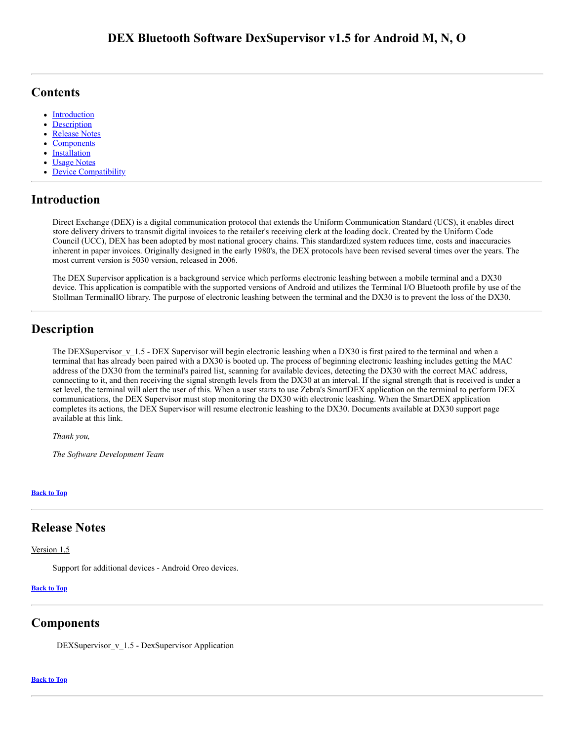## <span id="page-0-4"></span>**Contents**

- [Introduction](#page-0-0)
- **[Description](#page-0-1)**  $\bullet$
- [Release Notes](#page-0-2)
- $\bullet$ **[Components](#page-0-3)**
- **[Installation](#page-1-0)**
- $\bullet$ Usage Notes
- Device Compatibility

## <span id="page-0-0"></span>**Introduction**

Direct Exchange (DEX) is a digital communication protocol that extends the Uniform Communication Standard (UCS), it enables direct store delivery drivers to transmit digital invoices to the retailer's receiving clerk at the loading dock. Created by the Uniform Code Council (UCC), DEX has been adopted by most national grocery chains. This standardized system reduces time, costs and inaccuracies inherent in paper invoices. Originally designed in the early 1980's, the DEX protocols have been revised several times over the years. The most current version is 5030 version, released in 2006.

The DEX Supervisor application is a background service which performs electronic leashing between a mobile terminal and a DX30 device. This application is compatible with the supported versions of Android and utilizes the Terminal I/O Bluetooth profile by use of the Stollman TerminalIO library. The purpose of electronic leashing between the terminal and the DX30 is to prevent the loss of the DX30.

## <span id="page-0-1"></span>**Description**

The DEXSupervisor  $v_11.5$  - DEX Supervisor will begin electronic leashing when a DX30 is first paired to the terminal and when a terminal that has already been paired with a DX30 is booted up. The process of beginning electronic leashing includes getting the MAC address of the DX30 from the terminal's paired list, scanning for available devices, detecting the DX30 with the correct MAC address, connecting to it, and then receiving the signal strength levels from the DX30 at an interval. If the signal strength that is received is under a set level, the terminal will alert the user of this. When a user starts to use Zebra's SmartDEX application on the terminal to perform DEX communications, the DEX Supervisor must stop monitoring the DX30 with electronic leashing. When the SmartDEX application completes its actions, the DEX Supervisor will resume electronic leashing to the DX30. Documents available at DX30 support page available at this link.

*Thank you,*

*The Software Development Team*

**[Back](#page-0-4) to Top**

## <span id="page-0-2"></span>**Release Notes**

Version 1.5

Support for additional devices - Android Oreo devices.

### **[Back](#page-0-4) to Top**

### <span id="page-0-3"></span>**Components**

DEXSupervisor v 1.5 - DexSupervisor Application

#### **[Back](#page-0-4) to Top**